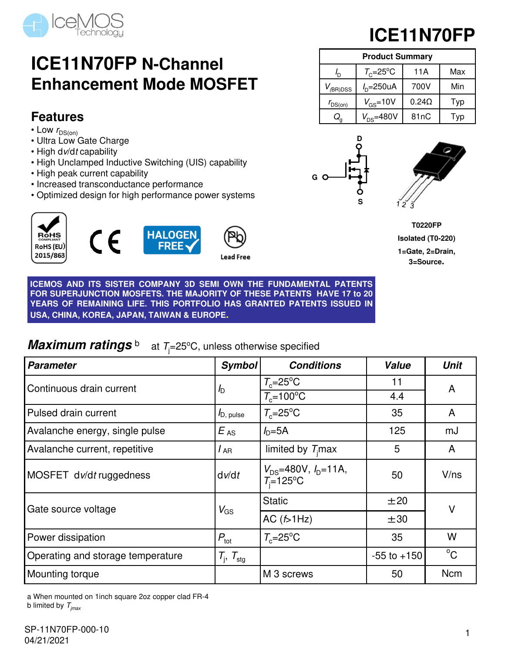

### **ICE11N70FP N-Channel Enhancement Mode MOSFET**

#### **Features**

- Low  $r_{DS(on)}$
- Ultra Low Gate Charge
- High dv/dt capability
- High Unclamped Inductive Switching (UIS) capability
- High peak current capability
- Increased transconductance performance
- Optimized design for high performance power systems







ead Free

**ICEMOS AND ITS SISTER COMPANY 3D SEMI OWN THE FUNDAMENTAL PATENTS FOR SUPERJUNCTION MOSFETS. THE MAJORITY OF THESE PATENTS HAVE 17 to 20 YEARS OF REMAINING LIFE. THIS PORTFOLIO HAS GRANTED PATENTS ISSUED IN USA, CHINA, KOREA, JAPAN, TAIWAN & EUROPE.**

#### **Maximum ratings** b at  $T_i=25^{\circ}$ C, unless otherwise specified

| <b>Parameter</b>                  | <b>Symbol</b>            | <b>Conditions</b>                               | <b>Value</b>    | <b>Unit</b>    |
|-----------------------------------|--------------------------|-------------------------------------------------|-----------------|----------------|
| Continuous drain current          | $I_{\mathsf{D}}$         | $T_c = 25$ °C                                   | 11              | $\overline{A}$ |
|                                   |                          | $T_c = 100$ °C                                  | 4.4             |                |
| <b>Pulsed drain current</b>       | $I_{D, \text{ pulse}}$   | $T_c = 25$ °C                                   | 35              | A              |
| Avalanche energy, single pulse    | $E_{AS}$                 | $ID=5A$                                         | 125             | mJ             |
| Avalanche current, repetitive     | l <sub>AR</sub>          | limited by $T_i$ max                            | 5               | A              |
| MOSFET dv/dt ruggedness           | dv/dt                    | $V_{DS}$ =480V, $I_{D}$ =11A,<br>$T_i = 125$ °C | 50              | V/ns           |
| Gate source voltage               | $V_{GS}$                 | <b>Static</b>                                   | ±20             | $\vee$         |
|                                   |                          | AC $(5-1Hz)$                                    | ±30             |                |
| Power dissipation                 | $P_{\text{tot}}$         | $T_c = 25$ °C                                   | 35              | W              |
| Operating and storage temperature | $T_i$ , $T_{\text{stg}}$ |                                                 | $-55$ to $+150$ | $^{\circ}C$    |
| Mounting torque                   |                          | M 3 screws                                      | 50              | <b>Ncm</b>     |

a When mounted on 1inch square 2oz copper clad FR-4 b limited by  $T_{\text{imax}}$ 

# **ICE11N70FP**

| <b>Product Summary</b>    |                |              |      |  |  |  |  |
|---------------------------|----------------|--------------|------|--|--|--|--|
| $\mathsf{I}_{\mathsf{D}}$ | $T_c = 25$ °C  | 11A          | Max  |  |  |  |  |
| $V_{(BR)DSS}$             | $I_{D}$ =250uA | 700V         | Min  |  |  |  |  |
| $r_{DS(on)}$              | $V_{GS}$ =10V  | $0.24\Omega$ | I yp |  |  |  |  |
|                           | $V_{DS}$ =480V | 81nC         |      |  |  |  |  |





**T0220FP Isolated (T0-220) 1=Gate, 2=Drain, 3=Source.**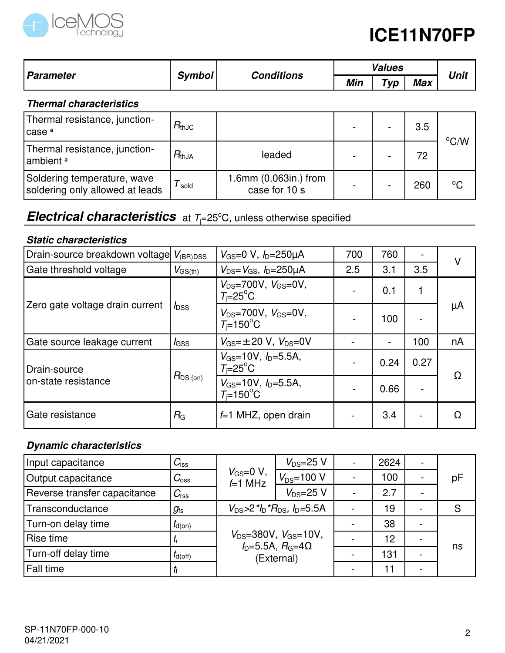

|           | <b>Symbol</b> | <b>Conditions</b> | Values |             |            |      |
|-----------|---------------|-------------------|--------|-------------|------------|------|
| Parameter |               |                   | Min    | $\tau_{VD}$ | <b>Max</b> | Unit |

#### **Thermal characteristics**

| Thermal resistance, junction-<br>lcase ª                       | $R_{\rm thJC}$      |                                        |  | 3.5 | $\rm ^{o}C/W$ |
|----------------------------------------------------------------|---------------------|----------------------------------------|--|-----|---------------|
| Thermal resistance, junction-<br>lambient ª                    | $R_{\mathsf{thJA}}$ | leaded                                 |  | 72  |               |
| Soldering temperature, wave<br>soldering only allowed at leads | sold                | 1.6mm (0.063in.) from<br>case for 10 s |  | 260 | $^{\circ}$ C  |

#### **Electrical characteristics** at  $T_i=25^{\circ}$ C, unless otherwise specified

#### **Static characteristics**

| Drain-source breakdown voltage  | $V_{\rm (BR)DSS}$ | $V_{\text{GS}} = 0 \text{ V}, I_{\text{D}} = 250 \mu \text{A}$ | 700 | 760                      |      | V  |  |
|---------------------------------|-------------------|----------------------------------------------------------------|-----|--------------------------|------|----|--|
| Gate threshold voltage          | $V_{\rm GS(th)}$  | $V_{DS} = V_{GS}$ , $I_{D} = 250 \mu A$                        | 2.5 | 3.1                      | 3.5  |    |  |
|                                 |                   | $V_{DS}$ =700V, $V_{GS}$ =0V,<br>$T_i = 25^\circ \text{C}$     |     | 0.1                      | 1    |    |  |
| Zero gate voltage drain current | $I_{\text{DSS}}$  | $V_{DS} = 700V, V_{GS} = 0V,$<br>$T_i = 150^{\circ}$ C         |     | 100                      |      | μA |  |
| Gate source leakage current     | lgss              | $V_{\text{GS}} = \pm 20$ V, $V_{\text{DS}} = 0$ V              |     | $\overline{\phantom{a}}$ | 100  | nA |  |
| Drain-source                    | $R_{DS\, (on)}$   | $V_{GS}$ =10V, $I_{D}$ =5.5A,<br>$T_i = 25^\circ \text{C}$     |     | 0.24                     | 0.27 | Ω  |  |
| on-state resistance             |                   | $V_{GS}$ =10V, $I_{D}$ =5.5A,<br>$T_i = 150$ °C                |     | 0.66                     |      |    |  |
| Gate resistance                 | $R_{\rm G}$       | $f=1$ MHZ, open drain                                          |     | 3.4                      |      | Ω  |  |

#### **Dynamic characteristics**

| Input capacitance            | $C_{\text{iss}}$    |                                                                              | $V_{DS}=25$ V | 2624 |    |
|------------------------------|---------------------|------------------------------------------------------------------------------|---------------|------|----|
| Output capacitance           | $C_{\rm{oss}}$      | $V_{GS}=0$ V,<br>$V_{DS}$ =100 V<br>$f=1$ MHz                                |               | 100  | рF |
| Reverse transfer capacitance | $C_{\text{rss}}$    | $V_{DS}=25$ V                                                                |               | 2.7  |    |
| Transconductance             | $g_{\rm fs}$        | $V_{DS} > 2 \frac{t}{D}$ $R_{DS}$ , $I_D = 5.5A$                             | 19            | S    |    |
| Turn-on delay time           | $t_{d(on)}$         |                                                                              |               | 38   |    |
| Rise time                    |                     | $V_{DS} = 380V$ , $V_{GS} = 10V$ ,<br>$ID=5.5A$ , $RG=4\Omega$<br>(External) |               | 12   |    |
| Turn-off delay time          | $t_{d(\text{off})}$ |                                                                              |               | 131  | ns |
| Fall time                    |                     |                                                                              |               | 11   |    |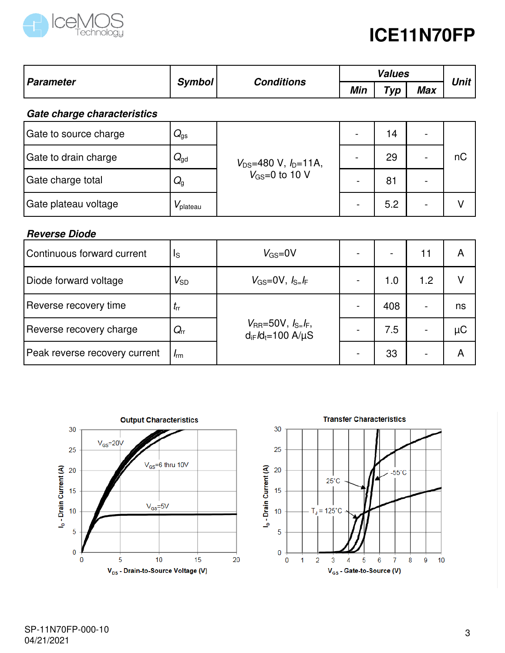

|                             |                      | <b>Conditions</b>              |     | <b>Unit</b> |                          |    |  |
|-----------------------------|----------------------|--------------------------------|-----|-------------|--------------------------|----|--|
| Parameter                   | <b>Symbol</b>        |                                | Min | Typ         | <b>Max</b>               |    |  |
| Gate charge characteristics |                      |                                |     |             |                          |    |  |
| Gate to source charge       | $Q_{\rm gs}$         |                                |     | 14          | $\overline{\phantom{a}}$ |    |  |
| Gate to drain charge        | $Q_{\text{gd}}$      | $V_{DS}$ =480 V, $I_{D}$ =11A, |     | 29          |                          | пC |  |
| Gate charge total           | $Q_{\rm g}$          | $V_{GS}=0$ to 10 V             |     | 81          | $\overline{\phantom{a}}$ |    |  |
| Gate plateau voltage        | $V_{\text{plateau}}$ |                                |     | 5.2         |                          |    |  |

#### **Reverse Diode**

| Continuous forward current          | Is           | $V_{GS}=0V$                                                                       | $\overline{\phantom{0}}$ |     | 11                       | A  |
|-------------------------------------|--------------|-----------------------------------------------------------------------------------|--------------------------|-----|--------------------------|----|
| Diode forward voltage               | $V_{SD}$     | $V_{\text{GS}} = 0 \text{V}$ , $I_{\text{S}} = I_F$                               |                          | 1.0 | 1.2                      |    |
| Reverse recovery time               | $l_{rr}$     |                                                                                   |                          | 408 | $\overline{\phantom{a}}$ | ns |
| Reverse recovery charge<br>$Q_{rr}$ |              | $V_{\rm RR} = 50V, I_{\rm S} = I_{\rm F}$ ,<br>$d_{iF}$ / $d_{t}$ =100 A/ $\mu$ S |                          | 7.5 |                          | μC |
| Peak reverse recovery current       | $I_{\rm rm}$ |                                                                                   |                          | 33  |                          | Α  |



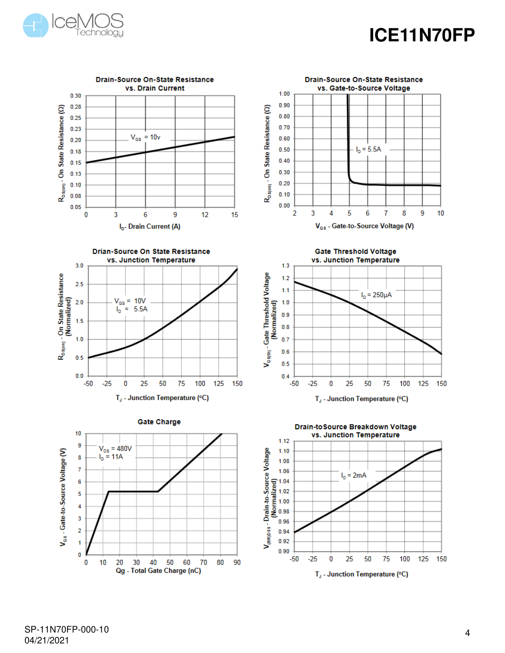



SP-11N70FP-000-10 04/21/2021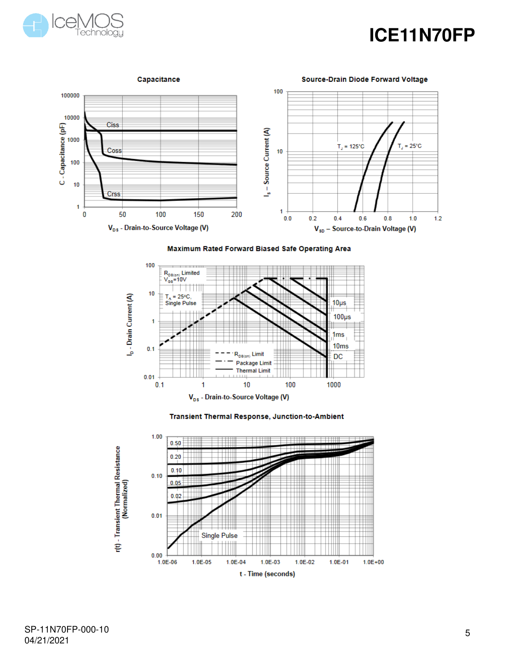





Maximum Rated Forward Biased Safe Operating Area





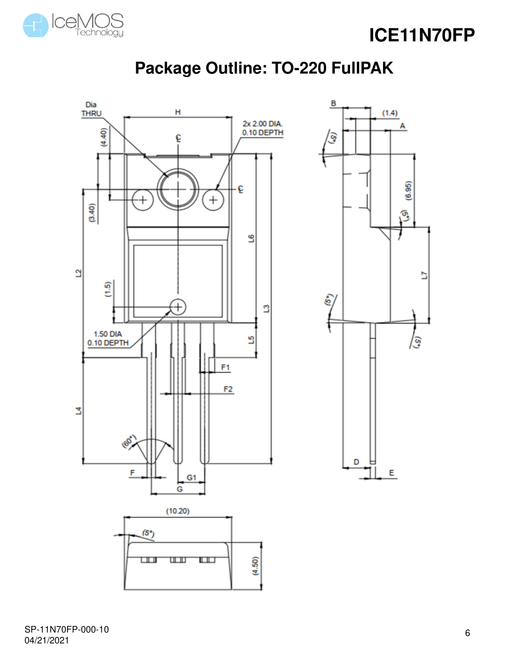



### **Package Outline: TO-220 FullPAK**



SP-11N70FP-000-10 04/21/2021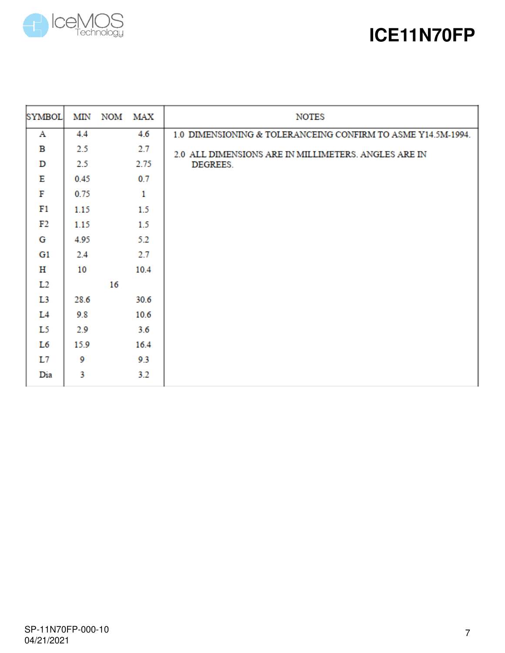

| <b>SYMBOL</b>  | MIN  |    | NOM MAX      | NOTES                                                        |
|----------------|------|----|--------------|--------------------------------------------------------------|
| А              | 4.4  |    | 4.6          | 1.0 DIMENSIONING & TOLERANCEING CONFIRM TO ASME Y14.5M-1994. |
| в              | 2.5  |    | 2.7          | 2.0 ALL DIMENSIONS ARE IN MILLIMETERS. ANGLES ARE IN         |
| D              | 2.5  |    | 2.75         | <b>DEGREES.</b>                                              |
| Е              | 0.45 |    | 0.7          |                                                              |
| F              | 0.75 |    | $\mathbf{1}$ |                                                              |
| F1             | 1.15 |    | 1.5          |                                                              |
| F2             | 1.15 |    | 1.5          |                                                              |
| G              | 4.95 |    | 5.2          |                                                              |
| G1             | 2.4  |    | 2.7          |                                                              |
| н              | 10   |    | 10.4         |                                                              |
| L <sub>2</sub> |      | 16 |              |                                                              |
| L <sub>3</sub> | 28.6 |    | 30.6         |                                                              |
| L4             | 9.8  |    | 10.6         |                                                              |
| L5             | 2.9  |    | 3.6          |                                                              |
| L6             | 15.9 |    | 16.4         |                                                              |
| L7             | 9    |    | 9.3          |                                                              |
| Dia            | 3    |    | 3.2          |                                                              |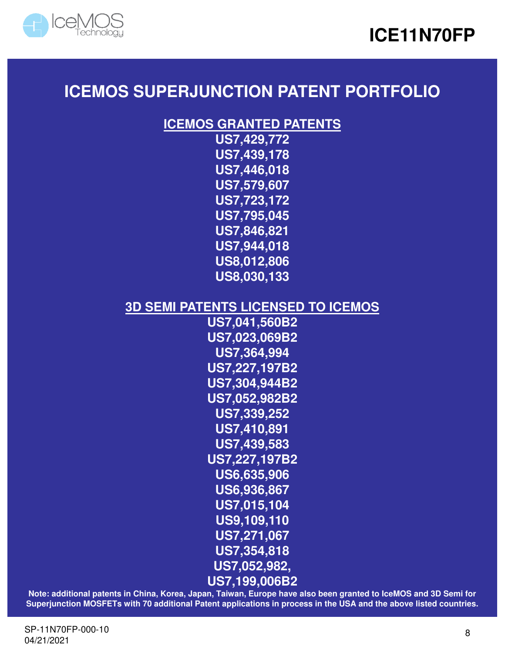



#### **ICEMOS SUPERJUNCTION PATENT PORTFOLIO**

#### **ICEMOS GRANTED PATENTS**

**US7,429,772 US7,439,178 US7,446,018 US7,579,607 US7,723,172 US7,795,045 US7,846,821 US7,944,018 US8,012,806 US8,030,133**

#### **3D SEMI PATENTS LICENSED TO ICEMOS**

**US7,041,560B2 US7,023,069B2 US7,364,994 US7,227,197B2 US7,304,944B2 US7,052,982B2 US7,339,252 US7,410,891 US7,439,583 US7,227,197B2 US6,635,906 US6,936,867 US7,015,104 US9,109,110 US7,271,067 US7,354,818 US7,052,982, US7,199,006B2**

**Note: additional patents in China, Korea, Japan, Taiwan, Europe have also been granted to IceMOS and 3D Semi for Superjunction MOSFETs with 70 additional Patent applications in process in the USA and the above listed countries.**